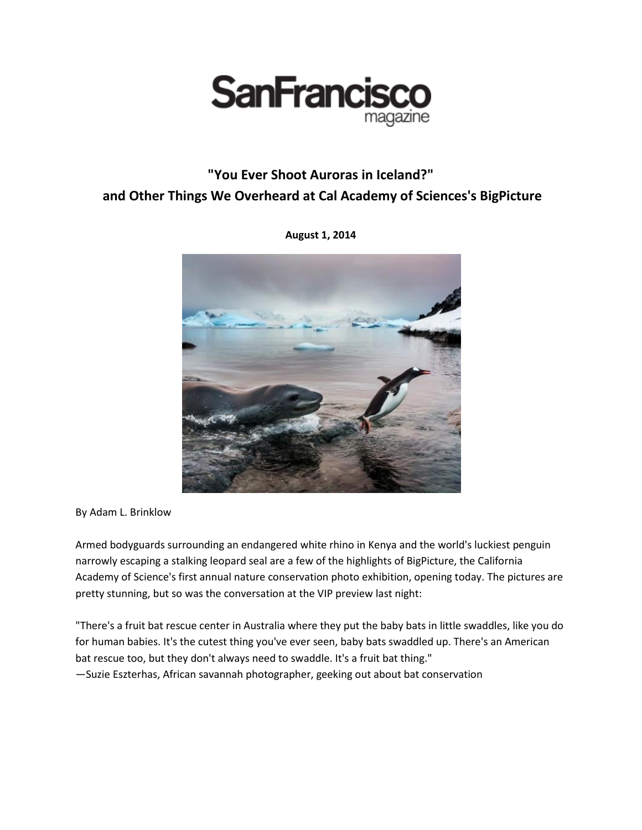

## **"You Ever Shoot Auroras in Iceland?" and Other Things We Overheard at Cal Academy of Sciences's BigPicture**



**August 1, 2014**

By Adam L. Brinklow

Armed bodyguards surrounding an endangered white rhino in Kenya and the world's luckiest penguin narrowly escaping a stalking leopard seal are a few of the highlights of BigPicture, the California Academy of Science's first annual nature conservation photo exhibition, opening today. The pictures are pretty stunning, but so was the conversation at the VIP preview last night:

"There's a fruit bat rescue center in Australia where they put the baby bats in little swaddles, like you do for human babies. It's the cutest thing you've ever seen, baby bats swaddled up. There's an American bat rescue too, but they don't always need to swaddle. It's a fruit bat thing." —Suzie Eszterhas, African savannah photographer, geeking out about bat conservation